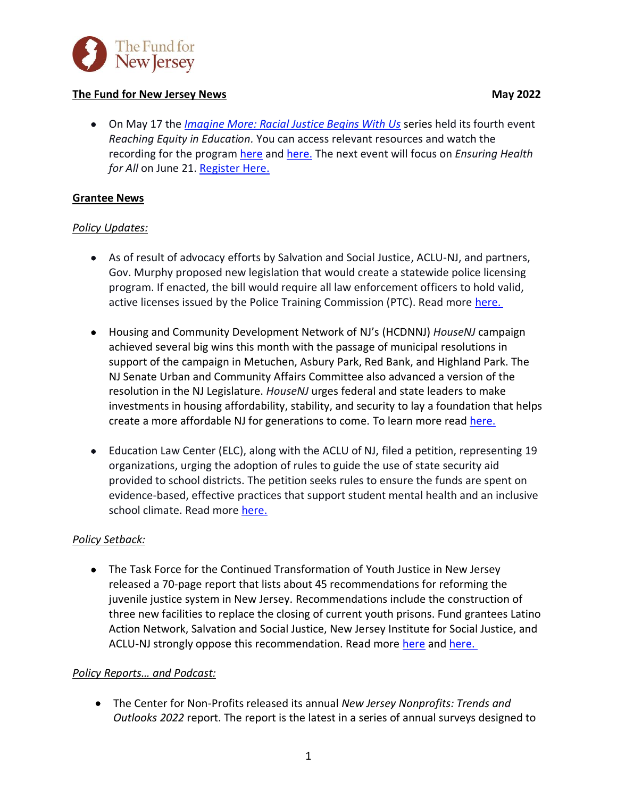

# **The Fund for New Jersey News** May 2022

• On May 17 the *[Imagine More: Racial Justice Begins With Us](https://www.imaginemorenj.org/)* series held its fourth event *Reaching Equity in Education.* You can access relevant resources and watch the recording for the program [here](https://www.youtube.com/watch?v=NFMOrUFkUHI&t=1s) and [here.](https://mailchi.mp/c0f20d625abf/reaching-equity-in-education) The next event will focus on *Ensuring Health*  for All on June 21. [Register](https://us06web.zoom.us/webinar/register/WN_BOXHlhhfRfS2GUJVvEbyhw) Here.

# **Grantee News**

## *Policy Updates:*

- As of result of advocacy efforts by Salvation and Social Justice, ACLU-NJ, and partners, Gov. Murphy proposed new legislation that would create a statewide police licensing program. If enacted, the bill would require all law enforcement officers to hold valid, active licenses issued by the Police Training Commission (PTC). Read more [here.](https://newjerseymonitor.com/2022/05/18/n-j-moves-to-license-cops-in-bid-to-increase-public-trust-in-policing/)
- Housing and Community Development Network of NJ's (HCDNNJ) *HouseNJ* campaign achieved several big wins this month with the passage of municipal resolutions in support of the campaign in Metuchen, Asbury Park, Red Bank, and Highland Park. The NJ Senate Urban and Community Affairs Committee also advanced a version of the resolution in the NJ Legislature. *HouseNJ* urges federal and state leaders to make investments in housing affordability, stability, and security to lay a foundation that helps create a more affordable NJ for generations to come. To learn more read [here.](https://www.hcdnnj.org/housenj)
- Education Law Center (ELC), along with the ACLU of NJ, filed a petition, representing 19 organizations, urging the adoption of rules to guide the use of state security aid provided to school districts. The petition seeks rules to ensure the funds are spent on evidence-based, effective practices that support student mental health and an inclusive school climate. Read more [here.](https://edlawcenter.org/news/archives/school-funding/nj-groups-petition-state-for-rules-on-district-use-of-school-security-aid.html)

# *Policy Setback:*

• The Task Force for the Continued Transformation of Youth Justice in New Jersey released a 70-page report that lists about 45 recommendations for reforming the juvenile justice system in New Jersey. Recommendations include the construction of three new facilities to replace the closing of current youth prisons. Fund grantees Latino Action Network, Salvation and Social Justice, New Jersey Institute for Social Justice, and ACLU-NJ strongly oppose this recommendation. Read more [here](https://newjerseymonitor.com/2022/05/11/report-recommends-n-j-build-three-small-youth-prisons-and-close-existing-ones/) an[d here.](https://assets.nationbuilder.com/njisj/pages/691/attachments/original/1652194641/Dissent_to_Task_Force_Recommendation_Final.pdf?1652194641)

### *Policy Reports… and Podcast:*

• The Center for Non-Profits released its annual *New Jersey Nonprofits: Trends and Outlooks 2022* report. The report is the latest in a series of annual surveys designed to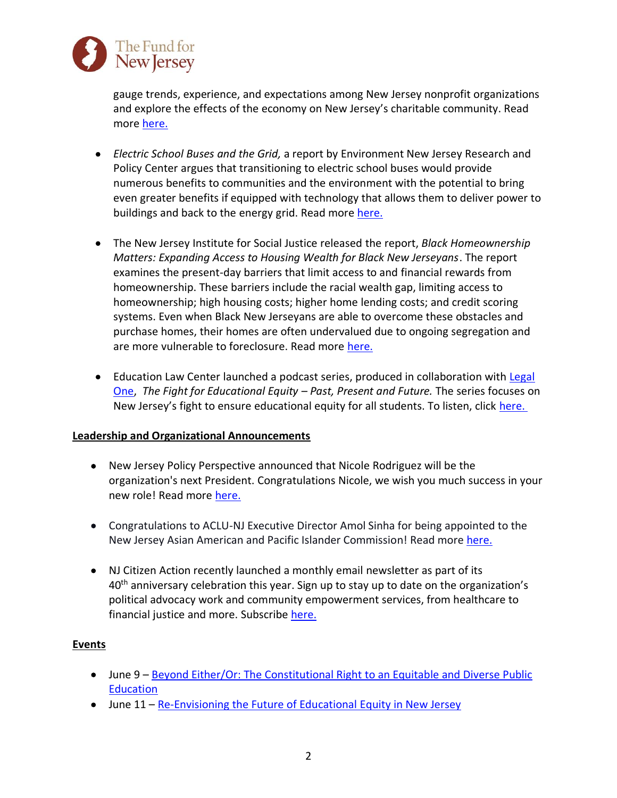

gauge trends, experience, and expectations among New Jersey nonprofit organizations and explore the effects of the economy on New Jersey's charitable community. Read more [here.](https://njnonprofits.org/wp-content/uploads/2022/05/2022AnnualSurveyRpt.pdf)

- *Electric School Buses and the Grid,* a report by Environment New Jersey Research and Policy Center argues that transitioning to electric school buses would provide numerous benefits to communities and the environment with the potential to bring even greater benefits if equipped with technology that allows them to deliver power to buildings and back to the energy grid. Read more [here.](https://environmentnewjersey.org/sites/environment/files/reports/NJ_V2G%202022%20scrn.pdf)
- The New Jersey Institute for Social Justice released the report, *Black Homeownership Matters: Expanding Access to Housing Wealth for Black New Jerseyans*. The report examines the present-day barriers that limit access to and financial rewards from homeownership. These barriers include the racial wealth gap, limiting access to homeownership; high housing costs; higher home lending costs; and credit scoring systems. Even when Black New Jerseyans are able to overcome these obstacles and purchase homes, their homes are often undervalued due to ongoing segregation and are more vulnerable to foreclosure. Read more [here.](https://assets.nationbuilder.com/njisj/pages/689/attachments/original/1651592853/Black_Homeownership_Matters_Report_5.3.22_web.pdf?1651592853)
- Education Law Center launched a podcast series, produced in collaboration with Legal [One,](https://njpsa.org/legalonenj/) *The Fight for Educational Equity – Past, Present and Future.* The series focuses on New Jersey's fight to ensure educational equity for all students. To listen, click [here.](https://njpsa.org/the-legal-one-podcast/)

### **Leadership and Organizational Announcements**

- New Jersey Policy Perspective announced that Nicole Rodriguez will be the organization's next President. Congratulations Nicole, we wish you much success in your new role! Read more [here.](https://www.njpp.org/media/press-release/nicole-rodriguez-named-president-of-new-jersey-policy-perspective/?link_id=1&can_id=6d32022a6ca8c41457937c2c6d13d0a9&source=email-save-the-dates-28&email_referrer=email_1546205&email_subject=meet-the-next-president-of-njpp)
- Congratulations to ACLU-NJ Executive Director Amol Sinha for being appointed to the New Jersey Asian American and Pacific Islander Commission! Read more [here.](https://www.nj.gov/governor/news/news/562022/approved/20220518b.shtml)
- NJ Citizen Action recently launched a monthly email newsletter as part of its  $40<sup>th</sup>$  anniversary celebration this year. Sign up to stay up to date on the organization's political advocacy work and community empowerment services, from healthcare to financial justice and more. Subscribe [here.](https://lp.constantcontactpages.com/su/jpibsfl/newsletter)

# **Events**

- June 9 [Beyond Either/Or: The Constitutional Right to an Equitable and Diverse Public](https://us06web.zoom.us/webinar/register/WN_XCt14ItsSNWYi1n_mqltqA)  [Education](https://us06web.zoom.us/webinar/register/WN_XCt14ItsSNWYi1n_mqltqA)
- June 11 [Re-Envisioning the Future of Educational Equity in New Jersey](https://web.cvent.com/event/f07fab6a-9f30-48aa-8da6-25d6e4eb3fd0/summary)